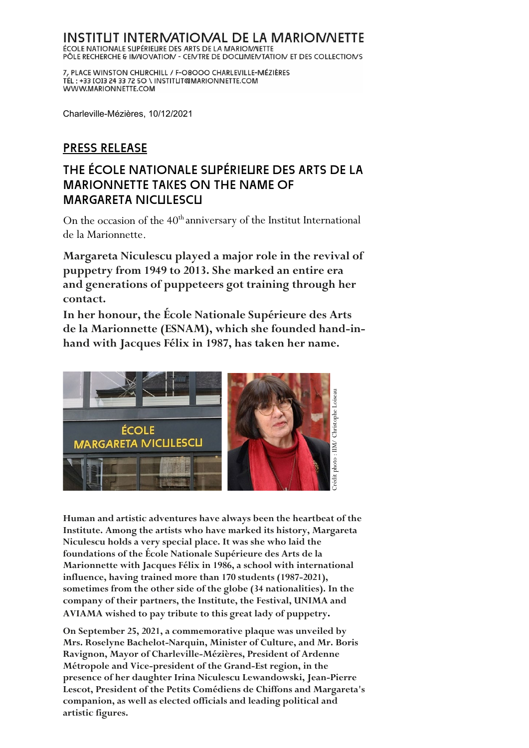# INSTITUT INTERNATIONAL DE LA MARIONNETTE **ÉCOLE NATIONALE SUPÉRIEURE DES ARTS DE LA MARIOMALETTE<br>PÔLE RECHERCHE & IMAIOVATION - CENTRE DE DOCUMENTATION ET DES COLLECTIONS**

7, PLACE WINSTON CHURCHILL / F-O8OOO CHARLEVILLE-MÉZIÈRES TÉL: +33 [O]3 24 33 72 50 \ INSTITUT@MARIONNETTE.COM WWW.MARIONNETTE.COM

Charleville-Mézières, 10/12/2021

## PRESS RELEASE

## THE ÉCOLE NATIONALE SUPÉRIEURE DES ARTS DE LA MARIONNETTE TAKES ON THE NAME OF MARGARETA NICULESCU

On the occasion of the 40<sup>th</sup> anniversary of the Institut International de la Marionnette.

**Margareta Niculescu played a major role in the revival of puppetry from 1949 to 2013. She marked an entire era and generations of puppeteers got training through her contact.** 

**In her honour, the École Nationale Supérieure des Arts de la Marionnette (ESNAM), which she founded hand-inhand with Jacques Félix in 1987, has taken her name.** 



**Human and artistic adventures have always been the heartbeat of the Institute. Among the artists who have marked its history, Margareta Niculescu holds a very special place. It was she who laid the foundations of the École Nationale Supérieure des Arts de la Marionnette with Jacques Félix in 1986, a school with international influence, having trained more than 170 students (1987-2021), sometimes from the other side of the globe (34 nationalities). In the company of their partners, the Institute, the Festival, UNIMA and AVIAMA wished to pay tribute to this great lady of puppetry.**

**On September 25, 2021, a commemorative plaque was unveiled by Mrs. Roselyne Bachelot-Narquin, Minister of Culture, and Mr. Boris Ravignon, Mayor of Charleville-Mézières, President of Ardenne Métropole and Vice-president of the Grand-Est region, in the presence of her daughter Irina Niculescu Lewandowski, Jean-Pierre Lescot, President of the Petits Comédiens de Chiffons and Margareta's companion, as well as elected officials and leading political and artistic figures.**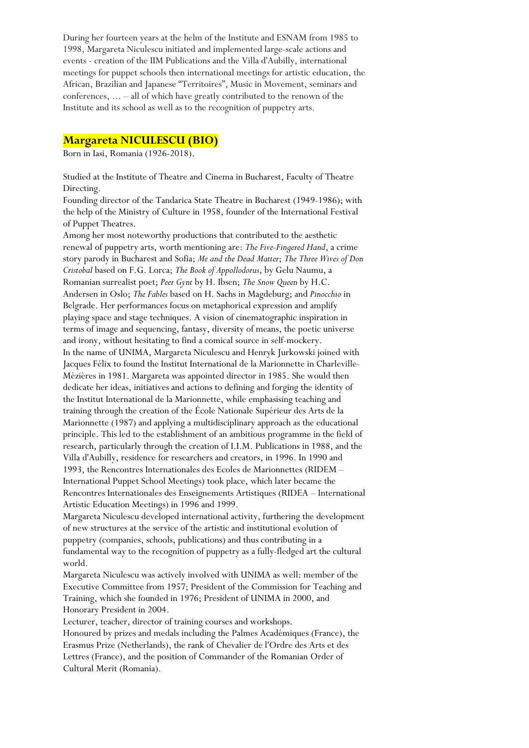During her fourteen years at the helm of the Institute and ESNAM from 1985 to 1998, Margareta Niculescu initiated and implemented large-scale actions and events - creation of the IIM Publications and the Villa d'Aubilly, international meetings for puppet schools then international meetings for artistic education, the African, Brazilian and Japanese "Territoires", Music in Movement, seminars and conferences, ... – all of which have greatly contributed to the renown of the Institute and its school as well as to the recognition of puppetry arts.

#### **Margareta NICULESCU (BIO)**

Born in Iasi, Romania (1926-2018).

Studied at the Institute of Theatre and Cinema in Bucharest, Faculty of Theatre Directing.

Founding director of the Tandarica State Theatre in Bucharest (1949-1986); with the help of the Ministry of Culture in 1958, founder of the International Festival of Puppet Theatres.

Among her most noteworthy productions that contributed to the aesthetic renewal of puppetry arts, worth mentioning are: *The Five-Fingered Hand*, a crime story parody in Bucharest and Sofia; *Me and the Dead Matter*; *The Three Wives of Don Cristobal* based on F.G. Lorca; *The Book of Appollodorus*, by Gelu Naumu, a Romanian surrealist poet; *Peer Gynt* by H. Ibsen; *The Snow Queen* by H.C. Andersen in Oslo; *The Fables* based on H. Sachs in Magdeburg; and *Pinocchio* in Belgrade. Her performances focus on metaphorical expression and amplify playing space and stage techniques. A vision of cinematographic inspiration in terms of image and sequencing, fantasy, diversity of means, the poetic universe and irony, without hesitating to find a comical source in self-mockery. In the name of UNIMA, Margareta Niculescu and Henryk Jurkowski joined with Jacques Félix to found the Institut International de la Marionnette in Charleville-Mézières in 1981. Margareta was appointed director in 1985. She would then dedicate her ideas, initiatives and actions to defining and forging the identity of the Institut International de la Marionnette, while emphasising teaching and training through the creation of the École Nationale Supérieur des Arts de la Marionnette (1987) and applying a multidisciplinary approach as the educational principle. This led to the establishment of an ambitious programme in the field of research, particularly through the creation of I.I.M. Publications in 1988, and the Villa d'Aubilly, residence for researchers and creators, in 1996. In 1990 and 1993, the Rencontres Internationales des Ecoles de Marionnettes (RIDEM – International Puppet School Meetings) took place, which later became the Rencontres Internationales des Enseignements Artistiques (RIDEA – International Artistic Education Meetings) in 1996 and 1999.

Margareta Niculescu developed international activity, furthering the development of new structures at the service of the artistic and institutional evolution of puppetry (companies, schools, publications) and thus contributing in a fundamental way to the recognition of puppetry as a fully-fledged art the cultural world.

Margareta Niculescu was actively involved with UNIMA as well: member of the Executive Committee from 1957; President of the Commission for Teaching and Training, which she founded in 1976; President of UNIMA in 2000, and Honorary President in 2004.

Lecturer, teacher, director of training courses and workshops. Honoured by prizes and medals including the Palmes Académiques (France), the Erasmus Prize (Netherlands), the rank of Chevalier de l'Ordre des Arts et des Lettres (France), and the position of Commander of the Romanian Order of Cultural Merit (Romania).